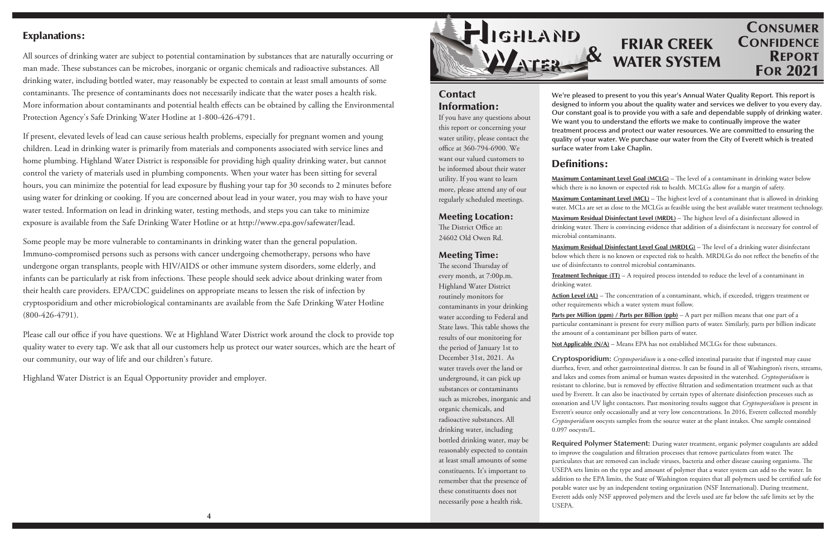# **Contact** Information:

If you have any questions about this report or concerning your water utility, please contact the office at 360-794-6900. We want our valued customers to be informed about their water utility. If you want to learn more, please attend any of our regularly scheduled meetings.

The District Office at: 24602 Old Owen Rd.

Meeting Location:

### Meeting Time:

The second Thursday of every month, at 7:00p.m. Highland Water District routinely monitors for contaminants in your drinking water according to Federal and State laws. This table shows the results of our monitoring for the period of January 1st to December 31st, 2021. As water travels over the land or underground, it can pick up substances or contaminants such as microbes, inorganic and organic chemicals, and radioactive substances. All drinking water, including bottled drinking water, may be reasonably expected to contain at least small amounts of some constituents. It's important to remember that the presence of these constituents does not necessarily pose a health risk.

# **CONSUMER CONFIDENCE** REPORT FOR 2021

**Maximum Contaminant Level Goal (MCLG)** – The level of a contaminant in drinking water below which there is no known or expected risk to health. MCLGs allow for a margin of safety.

Maximum Contaminant Level (MCL) - The highest level of a contaminant that is allowed in drinking water. MCLs are set as close to the MCLGs as feasible using the best available water treatment technology.

Maximum Residual Disinfectant Level (MRDL) - The highest level of a disinfectant allowed in drinking water. There is convincing evidence that addition of a disinfectant is necessary for control of microbial contaminants.

**Maximum Residual Disinfectant Level Goal (MRDLG)** – The level of a drinking water disinfectant below which there is no known or expected risk to health. MRDLGs do not reflect the benefits of the use of disinfectants to control microbial contaminants.

**Action Level (AL)** – The concentration of a contaminant, which, if exceeded, triggers treatment or other requirements which a water system must follow.

**We're pleased to present to you this year's Annual Water Quality Report. This report is designed to inform you about the quality water and services we deliver to you every day. Our constant goal is to provide you with a safe and dependable supply of drinking water. We want you to understand the efforts we make to continually improve the water treatment process and protect our water resources. We are committed to ensuring the quality of your water. We purchase our water from the City of Everett which is treated surface water from Lake Chaplin.**

**Parts per Million (ppm) / Parts per Billion (ppb)** – A part per million means that one part of a particular contaminant is present for every million parts of water. Similarly, parts per billion indicate the amount of a contaminant per billion parts of water. **Not Applicable (N/A)** – Means EPA has not established MCLGs for these substances.

## Definitions:

**Treatment Technique (TT)** – A required process intended to reduce the level of a contaminant in

drinking water.

Please call our office if you have questions. We at Highland Water District work around the clock to provide top quality water to every tap. We ask that all our customers help us protect our water sources, which are the heart of our community, our way of life and our children's future.

**Cryptosporidium:** *Cryptosporidium* is a one-celled intestinal parasite that if ingested may cause diarrhea, fever, and other gastrointestinal distress. It can be found in all of Washington's rivers, streams, and lakes and comes from animal or human wastes deposited in the watershed. *Cryptosporidium* is resistant to chlorine, but is removed by effective filtration and sedimentation treatment such as that used by Everett. It can also be inactivated by certain types of alternate disinfection processes such as ozonation and UV light contactors. Past monitoring results suggest that *Cryptosporidium* is present in Everett's source only occasionally and at very low concentrations. In 2016, Everett collected monthly *Cryptosporidium* oocysts samples from the source water at the plant intakes. One sample contained 0.097 oocysts/L.

**Required Polymer Statement:** During water treatment, organic polymer coagulants are added to improve the coagulation and filtration processes that remove particulates from water. The particulates that are removed can include viruses, bacteria and other disease causing organisms. The USEPA sets limits on the type and amount of polymer that a water system can add to the water. In addition to the EPA limits, the State of Washington requires that all polymers used be certified safe for potable water use by an independent testing organization (NSF International). During treatment, Everett adds only NSF approved polymers and the levels used are far below the safe limits set by the USEPA.

## Explanations:

All sources of drinking water are subject to potential contamination by substances that are naturally occurring or man made. These substances can be microbes, inorganic or organic chemicals and radioactive substances. All drinking water, including bottled water, may reasonably be expected to contain at least small amounts of some contaminants. The presence of contaminants does not necessarily indicate that the water poses a health risk. More information about contaminants and potential health effects can be obtained by calling the Environmental Protection Agency's Safe Drinking Water Hotline at 1-800-426-4791.

If present, elevated levels of lead can cause serious health problems, especially for pregnant women and young children. Lead in drinking water is primarily from materials and components associated with service lines and home plumbing. Highland Water District is responsible for providing high quality drinking water, but cannot control the variety of materials used in plumbing components. When your water has been sitting for several hours, you can minimize the potential for lead exposure by flushing your tap for 30 seconds to 2 minutes before using water for drinking or cooking. If you are concerned about lead in your water, you may wish to have your water tested. Information on lead in drinking water, testing methods, and steps you can take to minimize exposure is available from the Safe Drinking Water Hotline or at http://www.epa.gov/safewater/lead.

Some people may be more vulnerable to contaminants in drinking water than the general population. Immuno-compromised persons such as persons with cancer undergoing chemotherapy, persons who have undergone organ transplants, people with HIV/AIDS or other immune system disorders, some elderly, and infants can be particularly at risk from infections. These people should seek advice about drinking water from their health care providers. EPA/CDC guidelines on appropriate means to lessen the risk of infection by cryptosporidium and other microbiological contaminants are available from the Safe Drinking Water Hotline (800-426-4791).

Highland Water District is an Equal Opportunity provider and employer.